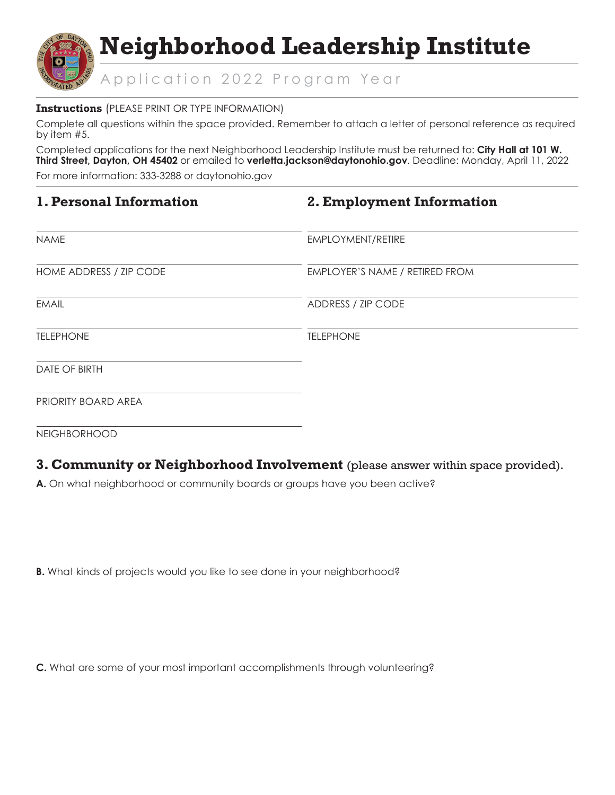

#### **Instructions** (PLEASE PRINT OR TYPE INFORMATION)

Complete all questions within the space provided. Remember to attach a letter of personal reference as required by item #5.

Completed applications for the next Neighborhood Leadership Institute must be returned to: **City Hall at 101 W. Third Street, Dayton, OH 45402** or emailed to **verletta.jackson@daytonohio.gov**. Deadline: Monday, April 11, 2022

For more information: 333-3288 or daytonohio.gov

| 1. Personal Information |  |  |  |  |  |
|-------------------------|--|--|--|--|--|
|-------------------------|--|--|--|--|--|

## **2. Employment Information**

| <b>NAME</b>             | EMPLOYMENT/RETIRE              |
|-------------------------|--------------------------------|
| HOME ADDRESS / ZIP CODE | EMPLOYER'S NAME / RETIRED FROM |
| <b>EMAIL</b>            | ADDRESS / ZIP CODE             |
| <b>TELEPHONE</b>        | <b>TELEPHONE</b>               |
| <b>DATE OF BIRTH</b>    |                                |
| PRIORITY BOARD AREA     |                                |
| NEIGHBORHOOD            |                                |

**3. Community or Neighborhood Involvement** (please answer within space provided).

**A.** On what neighborhood or community boards or groups have you been active?

**B.** What kinds of projects would you like to see done in your neighborhood?

**C.** What are some of your most important accomplishments through volunteering?